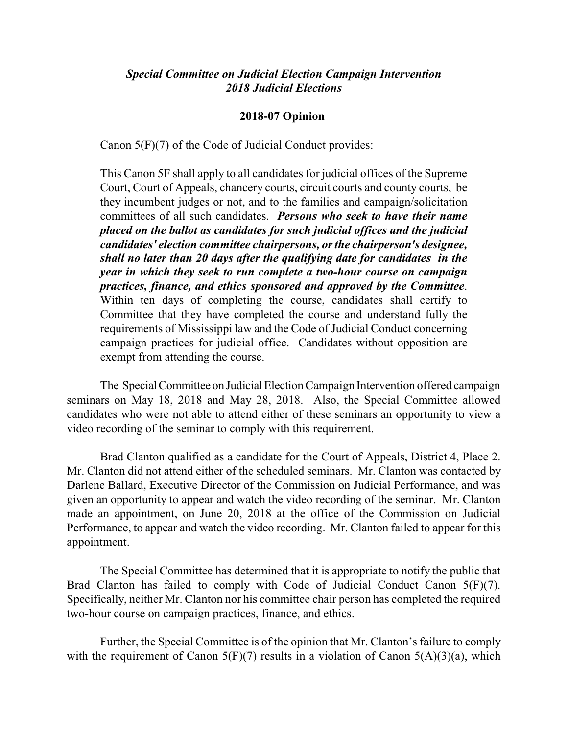## *Special Committee on Judicial Election Campaign Intervention 2018 Judicial Elections*

## **2018-07 Opinion**

Canon 5(F)(7) of the Code of Judicial Conduct provides:

This Canon 5F shall apply to all candidates for judicial offices of the Supreme Court, Court of Appeals, chancery courts, circuit courts and county courts, be they incumbent judges or not, and to the families and campaign/solicitation committees of all such candidates. *Persons who seek to have their name placed on the ballot as candidates for such judicial offices and the judicial candidates' election committee chairpersons, or the chairperson's designee, shall no later than 20 days after the qualifying date for candidates in the year in which they seek to run complete a two-hour course on campaign practices, finance, and ethics sponsored and approved by the Committee*. Within ten days of completing the course, candidates shall certify to Committee that they have completed the course and understand fully the requirements of Mississippi law and the Code of Judicial Conduct concerning campaign practices for judicial office. Candidates without opposition are exempt from attending the course.

The Special Committee on Judicial Election Campaign Intervention offered campaign seminars on May 18, 2018 and May 28, 2018. Also, the Special Committee allowed candidates who were not able to attend either of these seminars an opportunity to view a video recording of the seminar to comply with this requirement.

Brad Clanton qualified as a candidate for the Court of Appeals, District 4, Place 2. Mr. Clanton did not attend either of the scheduled seminars. Mr. Clanton was contacted by Darlene Ballard, Executive Director of the Commission on Judicial Performance, and was given an opportunity to appear and watch the video recording of the seminar. Mr. Clanton made an appointment, on June 20, 2018 at the office of the Commission on Judicial Performance, to appear and watch the video recording. Mr. Clanton failed to appear for this appointment.

The Special Committee has determined that it is appropriate to notify the public that Brad Clanton has failed to comply with Code of Judicial Conduct Canon 5(F)(7). Specifically, neither Mr. Clanton nor his committee chair person has completed the required two-hour course on campaign practices, finance, and ethics.

Further, the Special Committee is of the opinion that Mr. Clanton's failure to comply with the requirement of Canon  $5(F)(7)$  results in a violation of Canon  $5(A)(3)(a)$ , which